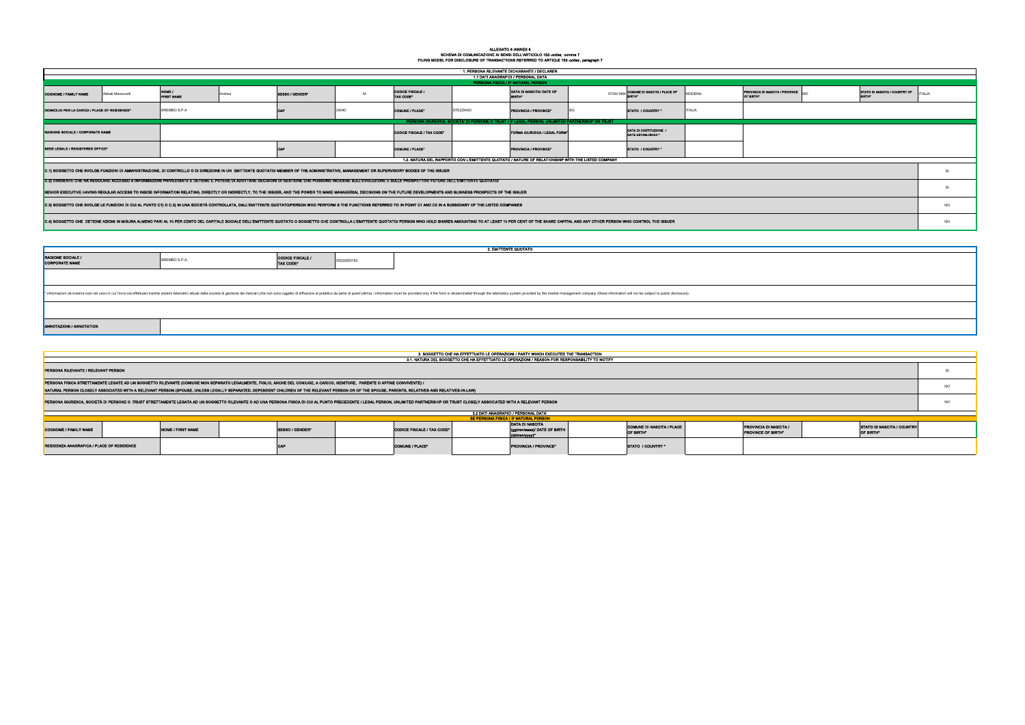## ALLEGATO 6 /ANNEX 6<br>SCHEMA DI COMUNICAZIONE AI SENSI DELL'ARTICOLO 152-*octies, c*omma 7<br>FILING MODEL FOR DISCLOSURE OF TRANSACTIONS REFERRED TO ARTICLE 152-*octies* , paragraph 7

|                                                                                                                                                                                                                                                                                                                                                                                                                                              |                   |                             |        |                                      |             |                                      |         | 1. PERSONA RILEVANTE DICHIARANTE / DECLARER                                                       |                                                                                                                                                                                                                                |                                               |               |                                                     |                                         |           |
|----------------------------------------------------------------------------------------------------------------------------------------------------------------------------------------------------------------------------------------------------------------------------------------------------------------------------------------------------------------------------------------------------------------------------------------------|-------------------|-----------------------------|--------|--------------------------------------|-------------|--------------------------------------|---------|---------------------------------------------------------------------------------------------------|--------------------------------------------------------------------------------------------------------------------------------------------------------------------------------------------------------------------------------|-----------------------------------------------|---------------|-----------------------------------------------------|-----------------------------------------|-----------|
|                                                                                                                                                                                                                                                                                                                                                                                                                                              |                   |                             |        |                                      |             |                                      |         | 1.1 DATI ANAGRAFICI / PERSONAL DATA                                                               |                                                                                                                                                                                                                                |                                               |               |                                                     |                                         |           |
|                                                                                                                                                                                                                                                                                                                                                                                                                                              |                   |                             |        |                                      |             |                                      |         | PERSONA FISICA / IF NATURAL PERSON                                                                |                                                                                                                                                                                                                                |                                               |               |                                                     |                                         |           |
| <b>COGNOME / FAMILY NAME</b>                                                                                                                                                                                                                                                                                                                                                                                                                 | Abbati Marescotti | NOME /<br><b>FIRST NAME</b> | Andrea | SESSO / GENDER*                      | M           | <b>CODICE FISCALE /</b><br>TAX CODE* |         | DATA DI NASCITA/ DATE OF<br><b>BIRTH</b> *                                                        | 07/04/1964                                                                                                                                                                                                                     | <b>COMUNE DI NASCITA / PLACE OF<br/>RIPTH</b> | <b>MODENA</b> | PROVINCIA DI NASCITA / PROVINCE<br>OF BIRTH®        | STATO DI NASCITA / COUNTRY OF           | TALIA     |
| DOMICILIO PER LA CARICA / PLACE OF RESIDENCE*                                                                                                                                                                                                                                                                                                                                                                                                |                   | BREMBO S.P.A                |        |                                      | 24040       | <b>COMUNE / PLACE®</b>               | TEZZANO | <b>PROVINCIA / PROVINCE®</b>                                                                      |                                                                                                                                                                                                                                | STATO / COUNTRY                               | <b>ITALIA</b> |                                                     |                                         |           |
|                                                                                                                                                                                                                                                                                                                                                                                                                                              |                   |                             |        |                                      |             |                                      |         | PERSONA GIURIDICA, SOCIETA' DI PERSONE O TRUST / IF LEGAL PERSON, UNLIMITED PARTNERSHIP OR TRUST  |                                                                                                                                                                                                                                |                                               |               |                                                     |                                         |           |
| RAGIONE SOCIALE / CORPORATE NAME                                                                                                                                                                                                                                                                                                                                                                                                             |                   |                             |        |                                      |             | <b>CODICE FISCALE / TAX CODE*</b>    |         | FORMA GIURIDICA / LEGAL FORM                                                                      |                                                                                                                                                                                                                                | DATA DI COSTITUZIONE<br>DATE ESTABLISHED *    |               |                                                     |                                         |           |
| SEDE LEGALE / REGISTERED OFFICE*                                                                                                                                                                                                                                                                                                                                                                                                             |                   |                             |        |                                      |             | COMUNE / PLACE®                      |         | PROVINCIA / PROVINCE <sup>®</sup>                                                                 |                                                                                                                                                                                                                                | STATO / COUNTRY *                             |               |                                                     |                                         |           |
|                                                                                                                                                                                                                                                                                                                                                                                                                                              |                   |                             |        |                                      |             |                                      |         | 1.2. NATURA DEL RAPPORTO CON L'EMITTENTE QUOTATO / NATURE OF RELATIONSHIP WITH THE LISTED COMPANY |                                                                                                                                                                                                                                |                                               |               |                                                     |                                         |           |
| C.1) SOGGETTO CHE SVOLGE FUNZIONI DI AMMINISTRAZIONE, DI CONTROLLO O DI DIREZIONE IN UN EMITTENTE QUOTATO/ MEMBER OF THE ADMINISTRATIVE, MANAGEMENT OR SUPERVISORY BODIES OF THE ISSUER                                                                                                                                                                                                                                                      |                   |                             |        |                                      |             |                                      |         |                                                                                                   |                                                                                                                                                                                                                                |                                               |               |                                                     |                                         | <b>SI</b> |
| C.2) DIRIGENTE CHE HA REGOLARE ACCESSO A INFORMAZIONI PRIVILEGIATE E DETIENE IL POTERE DI ADOTTARE DECISIONI DI GESTIONE CHE POSSONO INCIDERE SULL'EVOLUZIONE E SULLE PROSPETTIVE FUTURE DELL'EMITTENTE QUOTATO/<br>SENIOR EXECUTIVE HAVING REGULAR ACCESS TO INSIDE INFORMATION RELATING, DIRECTLY OR INDIRECTLY, TO THE ISSUER, AND THE POWER TO MAKE MANAGERIAL DECISIONS ON THE FUTURE DEVELOPMENTS AND BUSINESS PROSPECTS OF THE ISSUER |                   |                             |        |                                      |             |                                      |         |                                                                                                   |                                                                                                                                                                                                                                |                                               |               |                                                     |                                         | SI        |
| C.3) SOGGETTO CHE SVOLGE LE FUNZIONI DI CUI AL PUNTO C1) O C.2) IN UNA SOCIETÀ CONTROLLATA, DALL'EMITTENTE QUOTATO/PERSON WHO PERFORM S THE FUNCTIONS REFERRED TO IN POINT C1 AND C2 IN A SUBSIDIARY OF THE LISTED COMPANIES                                                                                                                                                                                                                 |                   |                             |        |                                      |             |                                      |         |                                                                                                   |                                                                                                                                                                                                                                |                                               |               |                                                     |                                         | <b>NO</b> |
|                                                                                                                                                                                                                                                                                                                                                                                                                                              |                   |                             |        |                                      |             |                                      |         |                                                                                                   | C.4) SOGGETTO CHE DETIENE AZIONI IN MISURA ALMENO PARI AL 10 PER CENTO DEL CAPITALE SOCIALE DELL'EMITTENTE QUOTATO O SOGGETTO CHE CONTROLLA L'EMITTENTE QUOTATO/ PERSON WHO HOLD SHARES AMOUNTING TO AT LEAST 10 PER CENT OF T |                                               |               |                                                     |                                         | <b>NO</b> |
|                                                                                                                                                                                                                                                                                                                                                                                                                                              |                   |                             |        |                                      |             |                                      |         |                                                                                                   |                                                                                                                                                                                                                                |                                               |               |                                                     |                                         |           |
|                                                                                                                                                                                                                                                                                                                                                                                                                                              |                   |                             |        |                                      |             |                                      |         |                                                                                                   |                                                                                                                                                                                                                                |                                               |               |                                                     |                                         |           |
|                                                                                                                                                                                                                                                                                                                                                                                                                                              |                   |                             |        |                                      |             |                                      |         | 2. EMITTENTE QUOTATO                                                                              |                                                                                                                                                                                                                                |                                               |               |                                                     |                                         |           |
| RAGIONE SOCIALE /<br>CORPORATE NAME                                                                                                                                                                                                                                                                                                                                                                                                          |                   | BREMBO S.P.A.               |        | <b>CODICE FISCALE /</b><br>TAX CODE* | 00222620163 |                                      |         |                                                                                                   |                                                                                                                                                                                                                                |                                               |               |                                                     |                                         |           |
|                                                                                                                                                                                                                                                                                                                                                                                                                                              |                   |                             |        |                                      |             |                                      |         |                                                                                                   |                                                                                                                                                                                                                                |                                               |               |                                                     |                                         |           |
|                                                                                                                                                                                                                                                                                                                                                                                                                                              |                   |                             |        |                                      |             |                                      |         |                                                                                                   | informazioni da inserire solo nel caso in cui l'invio sia effettuato tramite sistemi telematici attuati dalla società di gestione dei mercati (che non sono oggetto di diffusione al pubblico da parte di quest'ultima) / info |                                               |               |                                                     |                                         |           |
|                                                                                                                                                                                                                                                                                                                                                                                                                                              |                   |                             |        |                                      |             |                                      |         |                                                                                                   |                                                                                                                                                                                                                                |                                               |               |                                                     |                                         |           |
| <b>ANNOTAZIONI / ANNOTATION</b>                                                                                                                                                                                                                                                                                                                                                                                                              |                   |                             |        |                                      |             |                                      |         |                                                                                                   |                                                                                                                                                                                                                                |                                               |               |                                                     |                                         |           |
|                                                                                                                                                                                                                                                                                                                                                                                                                                              |                   |                             |        |                                      |             |                                      |         |                                                                                                   |                                                                                                                                                                                                                                |                                               |               |                                                     |                                         |           |
|                                                                                                                                                                                                                                                                                                                                                                                                                                              |                   |                             |        |                                      |             |                                      |         | 3. SOGGETTO CHE HA EFFETTUATO LE OPERAZIONI / PARTY WHICH EXECUTED THE TRANSACTION                |                                                                                                                                                                                                                                |                                               |               |                                                     |                                         |           |
|                                                                                                                                                                                                                                                                                                                                                                                                                                              |                   |                             |        |                                      |             |                                      |         | 3.1. NATURA DEL SOGGETTO CHE HA EFFETTUATO LE OPERAZIONI / REASON FOR RESPONSABILITY TO NOTIFY    |                                                                                                                                                                                                                                |                                               |               |                                                     |                                         |           |
| PERSONA RILEVANTE / RELEVANT PERSON                                                                                                                                                                                                                                                                                                                                                                                                          |                   |                             |        |                                      |             |                                      |         |                                                                                                   |                                                                                                                                                                                                                                |                                               |               |                                                     |                                         | SI        |
| PERSONA FISICA STRETTAMENTE LEGATE AD UN SOGGETTO RILEVANTE (CONIUGE NON SEPARATO LEGALMENTE, FIGLIO, ANCHE DEL CONIUGE, A CARICO, GENITORE, PARENTE O AFFINE CONVIVENTE) /<br>NATURAL PERSON CLOSELY ASSOCIATED WITH A RELEVANT PERSON (SPOUSE, UNLESS LEGALLY SEPARATED, DEPENDENT CHILDREN OF THE RELEVANT PERSON OR OF THE SPOUSE, PARENTS, RELATIVES AND RELATIVES-IN-LAW)                                                              |                   |                             |        |                                      |             |                                      |         |                                                                                                   |                                                                                                                                                                                                                                |                                               |               |                                                     |                                         | <b>NO</b> |
| PERSONA GIURIDICA, SOCIETÀ DI PERSONE O TRUST STRETTAMENTE LEGATA AD UN SOGGETTO RILEVANTE O AD UNA PERSONA FISICA DI CUI AL PUNTO PRECEDENTE / LEGAL PERSON, UNLIMITED PARTNERSHIP OR TRUST CLOSELY ASSOCIATED WITH A RELEVAN                                                                                                                                                                                                               |                   |                             |        |                                      |             |                                      |         |                                                                                                   |                                                                                                                                                                                                                                |                                               |               |                                                     |                                         | <b>NO</b> |
|                                                                                                                                                                                                                                                                                                                                                                                                                                              |                   |                             |        |                                      |             |                                      |         | 3.2 DATI ANAGRAFICI / PERSONAL DATA <sup>1</sup><br>SE PERSONA FISICA / IF NATURAL PERSON         |                                                                                                                                                                                                                                |                                               |               |                                                     |                                         |           |
| <b>COGNOME / FAMILY NAME</b>                                                                                                                                                                                                                                                                                                                                                                                                                 |                   | <b>NOME / FIRST NAME</b>    |        | SESSO / GENDER*                      |             | CODICE FISCALE / TAX CODE*           |         | DATA DI NASCITA<br>(gg/mm/aaaa)/ DATE OF BIRTH<br>(dd/mm/yyyy)*                                   |                                                                                                                                                                                                                                | <b>COMUNE DI NASCITA / PLACE</b><br>OF BIRTH* |               | <b>PROVINCIA DI NASCITA /</b><br>PROVINCE OF BIRTH* | STATO DI NASCITA / COUNTRY<br>OF BIRTH* |           |
| RESIDENZA ANAGRAFICA / PLACE OF RESIDENCE                                                                                                                                                                                                                                                                                                                                                                                                    |                   |                             |        |                                      |             | <b>COMUNE / PLACE*</b>               |         | PROVINCIA / PROVINCE <sup>®</sup>                                                                 |                                                                                                                                                                                                                                | STATO / COUNTRY *                             |               |                                                     |                                         |           |

| ITA / PROVINCE | MO | STATO DI NASCITA / COUNTRY OF<br><b>BIRTH®</b> | <b>ITALIA</b> |
|----------------|----|------------------------------------------------|---------------|
|                |    |                                                |               |
|                |    |                                                |               |
|                |    |                                                |               |
|                |    |                                                | SI            |
|                |    |                                                | SI            |
|                |    |                                                | NO            |
|                |    |                                                | NO            |